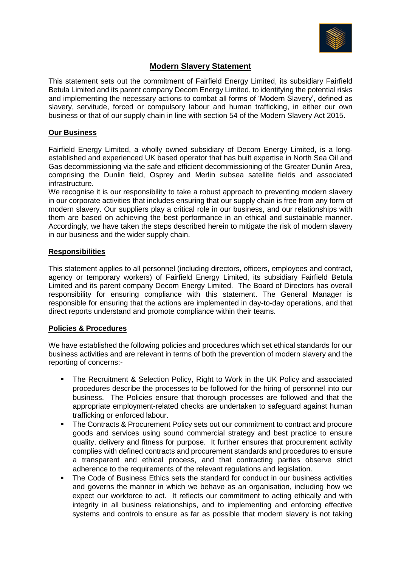

# **Modern Slavery Statement**

This statement sets out the commitment of Fairfield Energy Limited, its subsidiary Fairfield Betula Limited and its parent company Decom Energy Limited, to identifying the potential risks and implementing the necessary actions to combat all forms of 'Modern Slavery', defined as slavery, servitude, forced or compulsory labour and human trafficking, in either our own business or that of our supply chain in line with section 54 of the Modern Slavery Act 2015.

## **Our Business**

Fairfield Energy Limited, a wholly owned subsidiary of Decom Energy Limited, is a longestablished and experienced UK based operator that has built expertise in North Sea Oil and Gas decommissioning via the safe and efficient decommissioning of the Greater Dunlin Area, comprising the Dunlin field, Osprey and Merlin subsea satellite fields and associated infrastructure.

We recognise it is our responsibility to take a robust approach to preventing modern slavery in our corporate activities that includes ensuring that our supply chain is free from any form of modern slavery. Our suppliers play a critical role in our business, and our relationships with them are based on achieving the best performance in an ethical and sustainable manner. Accordingly, we have taken the steps described herein to mitigate the risk of modern slavery in our business and the wider supply chain.

## **Responsibilities**

This statement applies to all personnel (including directors, officers, employees and contract, agency or temporary workers) of Fairfield Energy Limited, its subsidiary Fairfield Betula Limited and its parent company Decom Energy Limited. The Board of Directors has overall responsibility for ensuring compliance with this statement. The General Manager is responsible for ensuring that the actions are implemented in day-to-day operations, and that direct reports understand and promote compliance within their teams.

## **Policies & Procedures**

We have established the following policies and procedures which set ethical standards for our business activities and are relevant in terms of both the prevention of modern slavery and the reporting of concerns:-

- The Recruitment & Selection Policy, Right to Work in the UK Policy and associated procedures describe the processes to be followed for the hiring of personnel into our business. The Policies ensure that thorough processes are followed and that the appropriate employment-related checks are undertaken to safeguard against human trafficking or enforced labour.
- The Contracts & Procurement Policy sets out our commitment to contract and procure goods and services using sound commercial strategy and best practice to ensure quality, delivery and fitness for purpose. It further ensures that procurement activity complies with defined contracts and procurement standards and procedures to ensure a transparent and ethical process, and that contracting parties observe strict adherence to the requirements of the relevant regulations and legislation.
- The Code of Business Ethics sets the standard for conduct in our business activities and governs the manner in which we behave as an organisation, including how we expect our workforce to act. It reflects our commitment to acting ethically and with integrity in all business relationships, and to implementing and enforcing effective systems and controls to ensure as far as possible that modern slavery is not taking